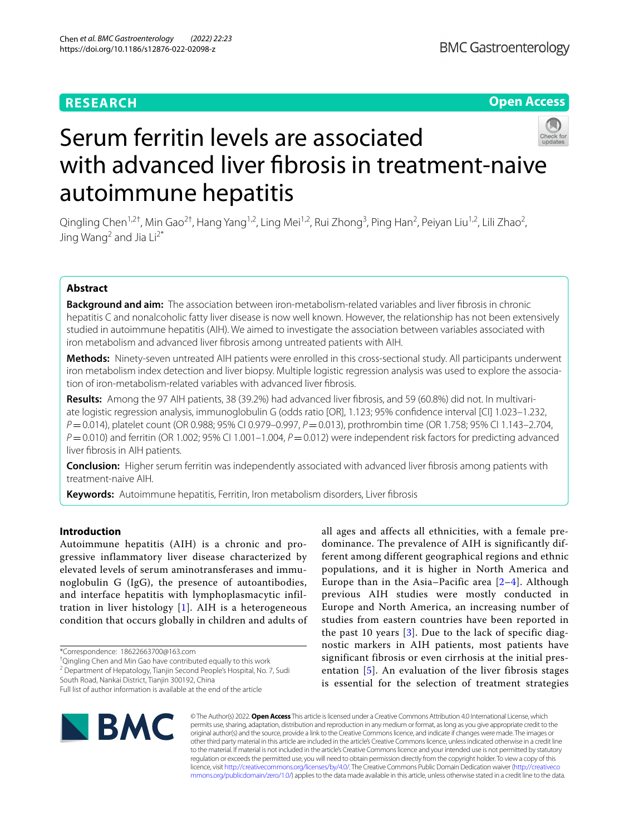## **RESEARCH**

**Open Access**

# Serum ferritin levels are associated with advanced liver fibrosis in treatment-naive autoimmune hepatitis

Qingling Chen<sup>1,2†</sup>, Min Gao<sup>2†</sup>, Hang Yang<sup>1,2</sup>, Ling Mei<sup>1,2</sup>, Rui Zhong<sup>3</sup>, Ping Han<sup>2</sup>, Peiyan Liu<sup>1,2</sup>, Lili Zhao<sup>2</sup>, Jing Wang<sup>2</sup> and Jia  $Li^{2*}$ 

## **Abstract**

**Background and aim:** The association between iron-metabolism-related variables and liver fbrosis in chronic hepatitis C and nonalcoholic fatty liver disease is now well known. However, the relationship has not been extensively studied in autoimmune hepatitis (AIH). We aimed to investigate the association between variables associated with iron metabolism and advanced liver fbrosis among untreated patients with AIH.

**Methods:** Ninety-seven untreated AIH patients were enrolled in this cross-sectional study. All participants underwent iron metabolism index detection and liver biopsy. Multiple logistic regression analysis was used to explore the association of iron-metabolism-related variables with advanced liver fbrosis.

**Results:** Among the 97 AIH patients, 38 (39.2%) had advanced liver fbrosis, and 59 (60.8%) did not. In multivariate logistic regression analysis, immunoglobulin G (odds ratio [OR], 1.123; 95% confdence interval [CI] 1.023–1.232, *P*=0.014), platelet count (OR 0.988; 95% CI 0.979–0.997, *P*=0.013), prothrombin time (OR 1.758; 95% CI 1.143–2.704, *P*=0.010) and ferritin (OR 1.002; 95% CI 1.001–1.004, *P*=0.012) were independent risk factors for predicting advanced liver fbrosis in AIH patients.

**Conclusion:** Higher serum ferritin was independently associated with advanced liver fbrosis among patients with treatment-naive AIH.

**Keywords:** Autoimmune hepatitis, Ferritin, Iron metabolism disorders, Liver fbrosis

## **Introduction**

Autoimmune hepatitis (AIH) is a chronic and progressive inflammatory liver disease characterized by elevated levels of serum aminotransferases and immunoglobulin G (IgG), the presence of autoantibodies, and interface hepatitis with lymphoplasmacytic infiltration in liver histology [[1\]](#page-7-0). AIH is a heterogeneous condition that occurs globally in children and adults of

\*Correspondence: 18622663700@163.com

† Qingling Chen and Min Gao have contributed equally to this work

<sup>2</sup> Department of Hepatology, Tianjin Second People's Hospital, No. 7, Sudi

Full list of author information is available at the end of the article

all ages and affects all ethnicities, with a female predominance. The prevalence of AIH is significantly different among different geographical regions and ethnic populations, and it is higher in North America and Europe than in the Asia–Pacific area  $[2-4]$  $[2-4]$  $[2-4]$ . Although previous AIH studies were mostly conducted in Europe and North America, an increasing number of studies from eastern countries have been reported in the past 10 years  $[3]$  $[3]$  $[3]$ . Due to the lack of specific diagnostic markers in AIH patients, most patients have significant fibrosis or even cirrhosis at the initial presentation  $[5]$  $[5]$ . An evaluation of the liver fibrosis stages is essential for the selection of treatment strategies



© The Author(s) 2022. **Open Access** This article is licensed under a Creative Commons Attribution 4.0 International License, which permits use, sharing, adaptation, distribution and reproduction in any medium or format, as long as you give appropriate credit to the original author(s) and the source, provide a link to the Creative Commons licence, and indicate if changes were made. The images or other third party material in this article are included in the article's Creative Commons licence, unless indicated otherwise in a credit line to the material. If material is not included in the article's Creative Commons licence and your intended use is not permitted by statutory regulation or exceeds the permitted use, you will need to obtain permission directly from the copyright holder. To view a copy of this licence, visit [http://creativecommons.org/licenses/by/4.0/.](http://creativecommons.org/licenses/by/4.0/) The Creative Commons Public Domain Dedication waiver ([http://creativeco](http://creativecommons.org/publicdomain/zero/1.0/) [mmons.org/publicdomain/zero/1.0/](http://creativecommons.org/publicdomain/zero/1.0/)) applies to the data made available in this article, unless otherwise stated in a credit line to the data.

South Road, Nankai District, Tianjin 300192, China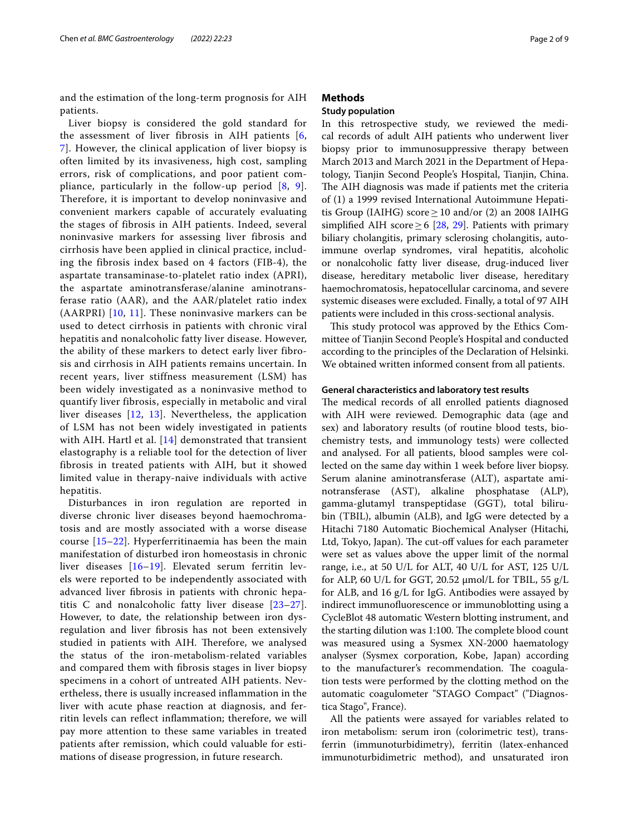and the estimation of the long-term prognosis for AIH patients.

Liver biopsy is considered the gold standard for the assessment of liver fibrosis in AIH patients [\[6](#page-7-5), [7\]](#page-7-6). However, the clinical application of liver biopsy is often limited by its invasiveness, high cost, sampling errors, risk of complications, and poor patient compliance, particularly in the follow-up period [[8,](#page-7-7) [9\]](#page-7-8). Therefore, it is important to develop noninvasive and convenient markers capable of accurately evaluating the stages of fibrosis in AIH patients. Indeed, several noninvasive markers for assessing liver fibrosis and cirrhosis have been applied in clinical practice, including the fibrosis index based on 4 factors (FIB-4), the aspartate transaminase-to-platelet ratio index (APRI), the aspartate aminotransferase/alanine aminotransferase ratio (AAR), and the AAR/platelet ratio index  $(AARPRI)$  [[10,](#page-7-9) [11\]](#page-7-10). These noninvasive markers can be used to detect cirrhosis in patients with chronic viral hepatitis and nonalcoholic fatty liver disease. However, the ability of these markers to detect early liver fibrosis and cirrhosis in AIH patients remains uncertain. In recent years, liver stiffness measurement (LSM) has been widely investigated as a noninvasive method to quantify liver fibrosis, especially in metabolic and viral liver diseases [\[12,](#page-7-11) [13](#page-7-12)]. Nevertheless, the application of LSM has not been widely investigated in patients with AIH. Hartl et al. [\[14\]](#page-7-13) demonstrated that transient elastography is a reliable tool for the detection of liver fibrosis in treated patients with AIH, but it showed limited value in therapy-naive individuals with active hepatitis.

Disturbances in iron regulation are reported in diverse chronic liver diseases beyond haemochromatosis and are mostly associated with a worse disease course [[15](#page-7-14)[–22](#page-7-15)]. Hyperferritinaemia has been the main manifestation of disturbed iron homeostasis in chronic liver diseases [\[16](#page-7-16)–[19\]](#page-7-17). Elevated serum ferritin levels were reported to be independently associated with advanced liver fbrosis in patients with chronic hepatitis C and nonalcoholic fatty liver disease [[23–](#page-7-18)[27\]](#page-8-0). However, to date, the relationship between iron dysregulation and liver fbrosis has not been extensively studied in patients with AIH. Therefore, we analysed the status of the iron-metabolism-related variables and compared them with fbrosis stages in liver biopsy specimens in a cohort of untreated AIH patients. Nevertheless, there is usually increased infammation in the liver with acute phase reaction at diagnosis, and ferritin levels can refect infammation; therefore, we will pay more attention to these same variables in treated patients after remission, which could valuable for estimations of disease progression, in future research.

## **Methods**

## **Study population**

In this retrospective study, we reviewed the medical records of adult AIH patients who underwent liver biopsy prior to immunosuppressive therapy between March 2013 and March 2021 in the Department of Hepatology, Tianjin Second People's Hospital, Tianjin, China. The AIH diagnosis was made if patients met the criteria of (1) a 1999 revised International Autoimmune Hepatitis Group (IAIHG) score  $\geq$  10 and/or (2) an 2008 IAIHG simplified AIH score  $\geq$  6 [\[28,](#page-8-1) [29\]](#page-8-2). Patients with primary biliary cholangitis, primary sclerosing cholangitis, autoimmune overlap syndromes, viral hepatitis, alcoholic or nonalcoholic fatty liver disease, drug-induced liver disease, hereditary metabolic liver disease, hereditary haemochromatosis, hepatocellular carcinoma, and severe systemic diseases were excluded. Finally, a total of 97 AIH patients were included in this cross-sectional analysis.

This study protocol was approved by the Ethics Committee of Tianjin Second People's Hospital and conducted according to the principles of the Declaration of Helsinki. We obtained written informed consent from all patients.

## **General characteristics and laboratory test results**

The medical records of all enrolled patients diagnosed with AIH were reviewed. Demographic data (age and sex) and laboratory results (of routine blood tests, biochemistry tests, and immunology tests) were collected and analysed. For all patients, blood samples were collected on the same day within 1 week before liver biopsy. Serum alanine aminotransferase (ALT), aspartate aminotransferase (AST), alkaline phosphatase (ALP), gamma-glutamyl transpeptidase (GGT), total bilirubin (TBIL), albumin (ALB), and IgG were detected by a Hitachi 7180 Automatic Biochemical Analyser (Hitachi, Ltd, Tokyo, Japan). The cut-off values for each parameter were set as values above the upper limit of the normal range, i.e., at 50 U/L for ALT, 40 U/L for AST, 125 U/L for ALP, 60 U/L for GGT, 20.52  $\mu$ mol/L for TBIL, 55 g/L for ALB, and 16 g/L for IgG. Antibodies were assayed by indirect immunofuorescence or immunoblotting using a CycleBlot 48 automatic Western blotting instrument, and the starting dilution was 1:100. The complete blood count was measured using a Sysmex XN-2000 haematology analyser (Sysmex corporation, Kobe, Japan) according to the manufacturer's recommendation. The coagulation tests were performed by the clotting method on the automatic coagulometer "STAGO Compact" ("Diagnostica Stago", France).

All the patients were assayed for variables related to iron metabolism: serum iron (colorimetric test), transferrin (immunoturbidimetry), ferritin (latex-enhanced immunoturbidimetric method), and unsaturated iron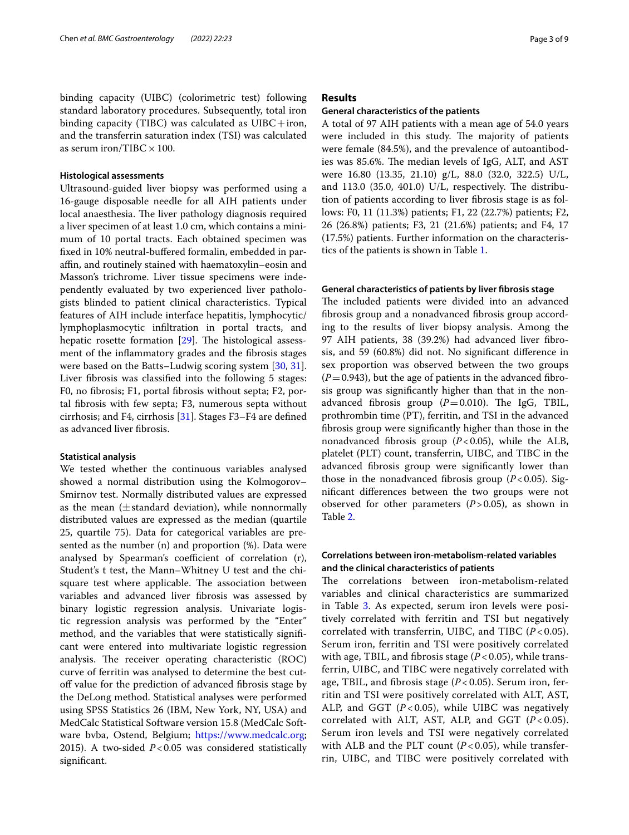binding capacity (UIBC) (colorimetric test) following standard laboratory procedures. Subsequently, total iron binding capacity (TIBC) was calculated as  $UIBC+iron$ , and the transferrin saturation index (TSI) was calculated as serum iron/TIBC  $\times$  100.

## **Histological assessments**

Ultrasound-guided liver biopsy was performed using a 16-gauge disposable needle for all AIH patients under local anaesthesia. The liver pathology diagnosis required a liver specimen of at least 1.0 cm, which contains a minimum of 10 portal tracts. Each obtained specimen was fxed in 10% neutral-bufered formalin, embedded in paraffin, and routinely stained with haematoxylin–eosin and Masson's trichrome. Liver tissue specimens were independently evaluated by two experienced liver pathologists blinded to patient clinical characteristics. Typical features of AIH include interface hepatitis, lymphocytic/ lymphoplasmocytic infltration in portal tracts, and hepatic rosette formation  $[29]$  $[29]$ . The histological assessment of the infammatory grades and the fbrosis stages were based on the Batts–Ludwig scoring system [[30](#page-8-3), [31](#page-8-3)]. Liver fbrosis was classifed into the following 5 stages: F0, no fbrosis; F1, portal fbrosis without septa; F2, portal fbrosis with few septa; F3, numerous septa without cirrhosis; and F4, cirrhosis [[31](#page-8-3)]. Stages F3–F4 are defned as advanced liver fbrosis.

#### **Statistical analysis**

We tested whether the continuous variables analysed showed a normal distribution using the Kolmogorov– Smirnov test. Normally distributed values are expressed as the mean  $(\pm \text{standard deviation})$ , while nonnormally distributed values are expressed as the median (quartile 25, quartile 75). Data for categorical variables are presented as the number (n) and proportion (%). Data were analysed by Spearman's coefficient of correlation  $(r)$ , Student's t test, the Mann–Whitney U test and the chisquare test where applicable. The association between variables and advanced liver fbrosis was assessed by binary logistic regression analysis. Univariate logistic regression analysis was performed by the "Enter" method, and the variables that were statistically signifcant were entered into multivariate logistic regression analysis. The receiver operating characteristic (ROC) curve of ferritin was analysed to determine the best cutoff value for the prediction of advanced fibrosis stage by the DeLong method. Statistical analyses were performed using SPSS Statistics 26 (IBM, New York, NY, USA) and MedCalc Statistical Software version 15.8 (MedCalc Software bvba, Ostend, Belgium; <https://www.medcalc.org>; 2015). A two‐sided *P*<0.05 was considered statistically signifcant.

## **Results**

### **General characteristics of the patients**

A total of 97 AIH patients with a mean age of 54.0 years were included in this study. The majority of patients were female (84.5%), and the prevalence of autoantibodies was 85.6%. The median levels of IgG, ALT, and AST were 16.80 (13.35, 21.10) g/L, 88.0 (32.0, 322.5) U/L, and  $113.0$  (35.0, 401.0) U/L, respectively. The distribution of patients according to liver fbrosis stage is as follows: F0, 11 (11.3%) patients; F1, 22 (22.7%) patients; F2, 26 (26.8%) patients; F3, 21 (21.6%) patients; and F4, 17 (17.5%) patients. Further information on the characteristics of the patients is shown in Table [1.](#page-3-0)

## **General characteristics of patients by liver fbrosis stage**

The included patients were divided into an advanced fbrosis group and a nonadvanced fbrosis group according to the results of liver biopsy analysis. Among the 97 AIH patients, 38 (39.2%) had advanced liver fbrosis, and 59 (60.8%) did not. No signifcant diference in sex proportion was observed between the two groups  $(P=0.943)$ , but the age of patients in the advanced fibrosis group was signifcantly higher than that in the nonadvanced fibrosis group  $(P=0.010)$ . The IgG, TBIL, prothrombin time (PT), ferritin, and TSI in the advanced fbrosis group were signifcantly higher than those in the nonadvanced fibrosis group  $(P<0.05)$ , while the ALB, platelet (PLT) count, transferrin, UIBC, and TIBC in the advanced fbrosis group were signifcantly lower than those in the nonadvanced fibrosis group  $(P<0.05)$ . Signifcant diferences between the two groups were not observed for other parameters (*P*>0.05), as shown in Table [2](#page-3-1).

## **Correlations between iron‑metabolism‑related variables and the clinical characteristics of patients**

The correlations between iron-metabolism-related variables and clinical characteristics are summarized in Table [3.](#page-4-0) As expected, serum iron levels were positively correlated with ferritin and TSI but negatively correlated with transferrin, UIBC, and TIBC (*P* < 0.05). Serum iron, ferritin and TSI were positively correlated with age, TBIL, and fbrosis stage (*P* < 0.05), while transferrin, UIBC, and TIBC were negatively correlated with age, TBIL, and fbrosis stage (*P* < 0.05). Serum iron, ferritin and TSI were positively correlated with ALT, AST, ALP, and GGT (*P* < 0.05), while UIBC was negatively correlated with ALT, AST, ALP, and GGT (*P* < 0.05). Serum iron levels and TSI were negatively correlated with ALB and the PLT count  $(P< 0.05)$ , while transferrin, UIBC, and TIBC were positively correlated with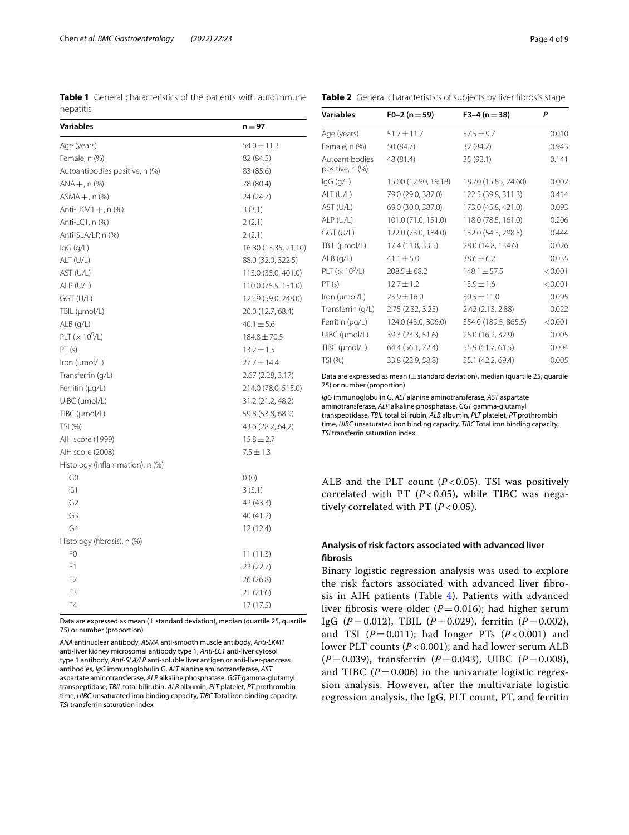<span id="page-3-0"></span>**Table 1** General characteristics of the patients with autoimmune hepatitis

<span id="page-3-1"></span>

|  |  | Table 2 General characteristics of subjects by liver fibrosis stage |  |  |  |
|--|--|---------------------------------------------------------------------|--|--|--|
|--|--|---------------------------------------------------------------------|--|--|--|

| Variables                       | $n = 97$             |
|---------------------------------|----------------------|
| Age (years)                     | $54.0 \pm 11.3$      |
| Female, n (%)                   | 82 (84.5)            |
| Autoantibodies positive, n (%)  | 83 (85.6)            |
| $ANA +$ , n $(\%)$              | 78 (80.4)            |
| $ASMA +$ , n $(\%)$             | 24 (24.7)            |
| Anti-LKM1 $+$ , n $(\%)$        | 3(3.1)               |
| Anti-LC1, n (%)                 | 2(2.1)               |
| Anti-SLA/LP, n (%)              | 2(2.1)               |
| $lgG$ (g/L)                     | 16.80 (13.35, 21.10) |
| ALT (U/L)                       | 88.0 (32.0, 322.5)   |
| AST (U/L)                       | 113.0 (35.0, 401.0)  |
| ALP (U/L)                       | 110.0 (75.5, 151.0)  |
| GGT (U/L)                       | 125.9 (59.0, 248.0)  |
| TBIL (µmol/L)                   | 20.0 (12.7, 68.4)    |
| $ALB$ (q/L)                     | $40.1 \pm 5.6$       |
| PLT $(x 10^9/L)$                | $184.8 \pm 70.5$     |
| PT(s)                           | $13.2 \pm 1.5$       |
| Iron ( $\mu$ mol/L)             | $27.7 \pm 14.4$      |
| Transferrin (g/L)               | $2.67$ (2.28, 3.17)  |
| Ferritin (µg/L)                 | 214.0 (78.0, 515.0)  |
| UIBC (µmol/L)                   | 31.2 (21.2, 48.2)    |
| TIBC (µmol/L)                   | 59.8 (53.8, 68.9)    |
| TSI (%)                         | 43.6 (28.2, 64.2)    |
| AIH score (1999)                | $15.8 \pm 2.7$       |
| AIH score (2008)                | $7.5 \pm 1.3$        |
| Histology (inflammation), n (%) |                      |
| G <sub>0</sub>                  | 0(0)                 |
| G1                              | 3(3.1)               |
| G <sub>2</sub>                  | 42 (43.3)            |
| G3                              | 40 (41.2)            |
| G4                              | 12 (12.4)            |
| Histology (fibrosis), n (%)     |                      |
| F0                              | 11 (11.3)            |
| F1                              | 22(22.7)             |
| F <sub>2</sub>                  | 26 (26.8)            |
| F <sub>3</sub>                  | 21(21.6)             |
| F4                              | 17 (17.5)            |

Data are expressed as mean ( $\pm$  standard deviation), median (quartile 25, quartile 75) or number (proportion)

*ANA* antinuclear antibody, *ASMA* anti-smooth muscle antibody, *Anti-LKM1* anti-liver kidney microsomal antibody type 1, *Anti-LC1* anti-liver cytosol type 1 antibody, *Anti-SLA/LP* anti-soluble liver antigen or anti-liver-pancreas antibodies, *IgG* immunoglobulin G, *ALT* alanine aminotransferase, *AST* aspartate aminotransferase, *ALP* alkaline phosphatase, *GGT* gamma-glutamyl transpeptidase, *TBIL* total bilirubin, *ALB* albumin, *PLT* platelet, *PT* prothrombin time, *UIBC* unsaturated iron binding capacity, *TIBC* Total iron binding capacity, *TSI* transferrin saturation index

| <b>Variables</b>                     | $F0-2 (n=59)$        | $F3-4 (n=38)$        | P       |
|--------------------------------------|----------------------|----------------------|---------|
| Age (years)                          | $51.7 \pm 11.7$      | $57.5 \pm 9.7$       | 0.010   |
| Female, n (%)                        | 50 (84.7)            | 32 (84.2)            | 0.943   |
| Autoantibodies<br>positive, n (%)    | 48 (81.4)            | 35 (92.1)            | 0.141   |
| lgG (g/L)                            | 15.00 (12.90, 19.18) | 18.70 (15.85, 24.60) | 0.002   |
| ALT(U/L)                             | 79.0 (29.0, 387.0)   | 122.5 (39.8, 311.3)  | 0.414   |
| AST (U/L)                            | 69.0 (30.0, 387.0)   | 173.0 (45.8, 421.0)  | 0.093   |
| ALP (U/L)                            | 101.0 (71.0, 151.0)  | 118.0 (78.5, 161.0)  | 0.206   |
| GGT (U/L)                            | 122.0 (73.0, 184.0)  | 132.0 (54.3, 298.5)  | 0.444   |
| TBIL (µmol/L)                        | 17.4 (11.8, 33.5)    | 28.0 (14.8, 134.6)   | 0.026   |
| $ALB$ (g/L)                          | $41.1 \pm 5.0$       | $38.6 + 6.2$         | 0.035   |
| $PLT$ ( $\times$ 10 <sup>9</sup> /L) | $208.5 \pm 68.2$     | $148.1 \pm 57.5$     | < 0.001 |
| PT(s)                                | $12.7 \pm 1.2$       | $13.9 \pm 1.6$       | < 0.001 |
| Iron ( $\mu$ mol/L)                  | $25.9 \pm 16.0$      | $30.5 \pm 11.0$      | 0.095   |
| Transferrin (g/L)                    | 2.75(2.32, 3.25)     | 2.42 (2.13, 2.88)    | 0.022   |
| Ferritin (µg/L)                      | 124.0 (43.0, 306.0)  | 354.0 (189.5, 865.5) | < 0.001 |
| $U\text{B}C$ ( $\mu$ mol/L)          | 39.3 (23.3, 51.6)    | 25.0 (16.2, 32.9)    | 0.005   |
| TIBC (µmol/L)                        | 64.4 (56.1, 72.4)    | 55.9 (51.7, 61.5)    | 0.004   |
| TSI (%)                              | 33.8 (22.9, 58.8)    | 55.1 (42.2, 69.4)    | 0.005   |

Data are expressed as mean  $(\pm$  standard deviation), median (quartile 25, quartile 75) or number (proportion)

*IgG* immunoglobulin G, *ALT* alanine aminotransferase, *AST* aspartate aminotransferase, *ALP* alkaline phosphatase, *GGT* gamma-glutamyl transpeptidase, *TBIL* total bilirubin, *ALB* albumin, *PLT* platelet, *PT* prothrombin time, *UIBC* unsaturated iron binding capacity, *TIBC* Total iron binding capacity, *TSI* transferrin saturation index

ALB and the PLT count  $(P< 0.05)$ . TSI was positively correlated with PT (*P* < 0.05), while TIBC was negatively correlated with PT  $(P<0.05)$ .

## **Analysis of risk factors associated with advanced liver fbrosis**

Binary logistic regression analysis was used to explore the risk factors associated with advanced liver fbrosis in AIH patients (Table [4](#page-4-1)). Patients with advanced liver fibrosis were older (*P*=0.016); had higher serum IgG (*P*=0.012), TBIL (*P*=0.029), ferritin (*P*=0.002), and TSI  $(P=0.011)$ ; had longer PTs  $(P<0.001)$  and lower PLT counts (*P* < 0.001); and had lower serum ALB (*P*=0.039), transferrin (*P*=0.043), UIBC (*P*=0.008), and TIBC  $(P=0.006)$  in the univariate logistic regression analysis. However, after the multivariate logistic regression analysis, the IgG, PLT count, PT, and ferritin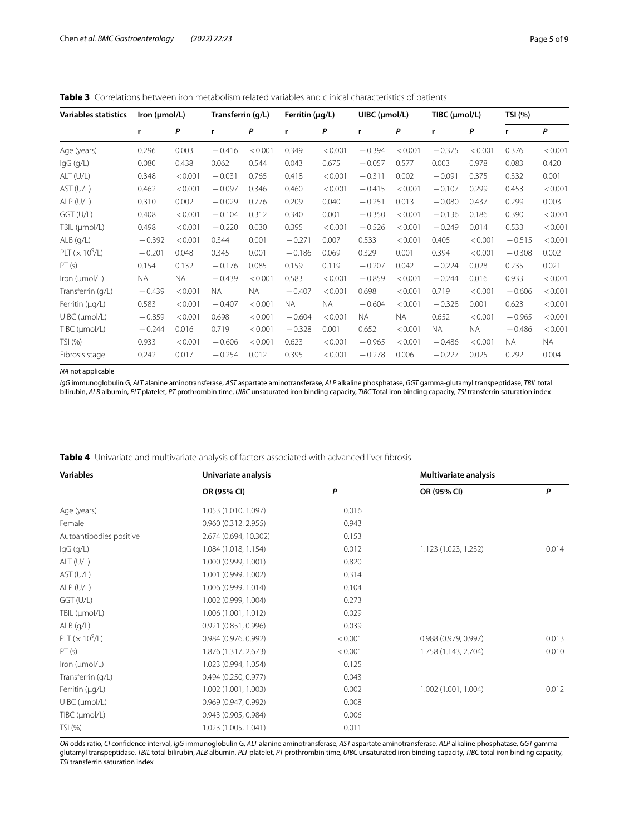<span id="page-4-0"></span>

| <b>Variables statistics</b>  | lron (µmol/L) |         | Transferrin (g/L) |           | Ferritin (µg/L) |           | UIBC (µmol/L) |           | TIBC (µmol/L) |           | TSI (%)  |         |
|------------------------------|---------------|---------|-------------------|-----------|-----------------|-----------|---------------|-----------|---------------|-----------|----------|---------|
|                              | r             | P       | r                 | P         | r               | P         | r             | P         | r             | P         | r        | P       |
| Age (years)                  | 0.296         | 0.003   | $-0.416$          | < 0.001   | 0.349           | < 0.001   | $-0.394$      | < 0.001   | $-0.375$      | < 0.001   | 0.376    | < 0.001 |
| $lgG$ (g/L)                  | 0.080         | 0.438   | 0.062             | 0.544     | 0.043           | 0.675     | $-0.057$      | 0.577     | 0.003         | 0.978     | 0.083    | 0.420   |
| ALT (U/L)                    | 0.348         | < 0.001 | $-0.031$          | 0.765     | 0.418           | < 0.001   | $-0.311$      | 0.002     | $-0.091$      | 0.375     | 0.332    | 0.001   |
| AST (U/L)                    | 0.462         | < 0.001 | $-0.097$          | 0.346     | 0.460           | < 0.001   | $-0.415$      | < 0.001   | $-0.107$      | 0.299     | 0.453    | < 0.001 |
| $ALP$ (U/L)                  | 0.310         | 0.002   | $-0.029$          | 0.776     | 0.209           | 0.040     | $-0.251$      | 0.013     | $-0.080$      | 0.437     | 0.299    | 0.003   |
| GGT (U/L)                    | 0.408         | < 0.001 | $-0.104$          | 0.312     | 0.340           | 0.001     | $-0.350$      | < 0.001   | $-0.136$      | 0.186     | 0.390    | < 0.001 |
| TBIL (µmol/L)                | 0.498         | < 0.001 | $-0.220$          | 0.030     | 0.395           | < 0.001   | $-0.526$      | < 0.001   | $-0.249$      | 0.014     | 0.533    | < 0.001 |
| $ALB$ ( $q/L$ )              | $-0.392$      | < 0.001 | 0.344             | 0.001     | $-0.271$        | 0.007     | 0.533         | < 0.001   | 0.405         | < 0.001   | $-0.515$ | < 0.001 |
| PLT $(x 10^9/L)$             | $-0.201$      | 0.048   | 0.345             | 0.001     | $-0.186$        | 0.069     | 0.329         | 0.001     | 0.394         | < 0.001   | $-0.308$ | 0.002   |
| PT(s)                        | 0.154         | 0.132   | $-0.176$          | 0.085     | 0.159           | 0.119     | $-0.207$      | 0.042     | $-0.224$      | 0.028     | 0.235    | 0.021   |
| Iron ( $\mu$ mol/L)          | <b>NA</b>     | NA.     | $-0.439$          | < 0.001   | 0.583           | < 0.001   | $-0.859$      | < 0.001   | $-0.244$      | 0.016     | 0.933    | < 0.001 |
| Transferrin (q/L)            | $-0.439$      | < 0.001 | NA.               | <b>NA</b> | $-0.407$        | < 0.001   | 0.698         | < 0.001   | 0.719         | < 0.001   | $-0.606$ | < 0.001 |
| Ferritin (µg/L)              | 0.583         | < 0.001 | $-0.407$          | < 0.001   | NA.             | <b>NA</b> | $-0.604$      | < 0.001   | $-0.328$      | 0.001     | 0.623    | < 0.001 |
| $U\text{IBC}$ ( $\mu$ mol/L) | $-0.859$      | < 0.001 | 0.698             | < 0.001   | $-0.604$        | < 0.001   | <b>NA</b>     | <b>NA</b> | 0.652         | < 0.001   | $-0.965$ | < 0.001 |
| TIBC (µmol/L)                | $-0.244$      | 0.016   | 0.719             | < 0.001   | $-0.328$        | 0.001     | 0.652         | < 0.001   | <b>NA</b>     | <b>NA</b> | $-0.486$ | < 0.001 |
| TSI (%)                      | 0.933         | < 0.001 | $-0.606$          | < 0.001   | 0.623           | < 0.001   | $-0.965$      | < 0.001   | $-0.486$      | < 0.001   | NA.      | NA.     |
| Fibrosis stage               | 0.242         | 0.017   | $-0.254$          | 0.012     | 0.395           | < 0.001   | $-0.278$      | 0.006     | $-0.227$      | 0.025     | 0.292    | 0.004   |

#### *NA* not applicable

*IgG* immunoglobulin G, *ALT* alanine aminotransferase, *AST* aspartate aminotransferase, *ALP* alkaline phosphatase, *GGT* gamma-glutamyl transpeptidase, *TBIL* total bilirubin, *ALB* albumin, *PLT* platelet, *PT* prothrombin time, *UIBC* unsaturated iron binding capacity, *TIBC* Total iron binding capacity, *TSI* transferrin saturation index

<span id="page-4-1"></span>

| <b>Variables</b>            | Univariate analysis   |         | Multivariate analysis |       |  |
|-----------------------------|-----------------------|---------|-----------------------|-------|--|
|                             | OR (95% CI)           | P       | OR (95% CI)           | P     |  |
| Age (years)                 | 1.053 (1.010, 1.097)  | 0.016   |                       |       |  |
| Female                      | 0.960 (0.312, 2.955)  | 0.943   |                       |       |  |
| Autoantibodies positive     | 2.674 (0.694, 10.302) | 0.153   |                       |       |  |
| $lgG$ (g/L)                 | 1.084 (1.018, 1.154)  | 0.012   | 1.123 (1.023, 1.232)  | 0.014 |  |
| ALT (U/L)                   | 1.000 (0.999, 1.001)  | 0.820   |                       |       |  |
| AST (U/L)                   | 1.001 (0.999, 1.002)  | 0.314   |                       |       |  |
| $ALP$ (U/L)                 | 1.006 (0.999, 1.014)  | 0.104   |                       |       |  |
| GGT (U/L)                   | 1.002 (0.999, 1.004)  | 0.273   |                       |       |  |
| TBIL (µmol/L)               | 1.006 (1.001, 1.012)  | 0.029   |                       |       |  |
| $ALB$ (g/L)                 | 0.921(0.851, 0.996)   | 0.039   |                       |       |  |
| PLT $(x 10^9/L)$            | 0.984 (0.976, 0.992)  | < 0.001 | 0.988 (0.979, 0.997)  | 0.013 |  |
| PT(s)                       | 1.876 (1.317, 2.673)  | < 0.001 | 1.758 (1.143, 2.704)  | 0.010 |  |
| Iron (µmol/L)               | 1.023 (0.994, 1.054)  | 0.125   |                       |       |  |
| Transferrin (g/L)           | 0.494 (0.250, 0.977)  | 0.043   |                       |       |  |
| Ferritin (µg/L)             | 1.002 (1.001, 1.003)  | 0.002   | 1.002 (1.001, 1.004)  | 0.012 |  |
| $U\text{BC}$ ( $\mu$ mol/L) | 0.969 (0.947, 0.992)  | 0.008   |                       |       |  |
| TIBC (µmol/L)               | 0.943 (0.905, 0.984)  | 0.006   |                       |       |  |
| TSI (%)                     | 1.023 (1.005, 1.041)  | 0.011   |                       |       |  |

*OR* odds ratio, *CI* confdence interval, *IgG* immunoglobulin G, *ALT* alanine aminotransferase, *AST* aspartate aminotransferase, *ALP* alkaline phosphatase, *GGT* gammaglutamyl transpeptidase, *TBIL* total bilirubin, *ALB* albumin, *PLT* platelet, *PT* prothrombin time, *UIBC* unsaturated iron binding capacity, *TIBC* total iron binding capacity, *TSI* transferrin saturation index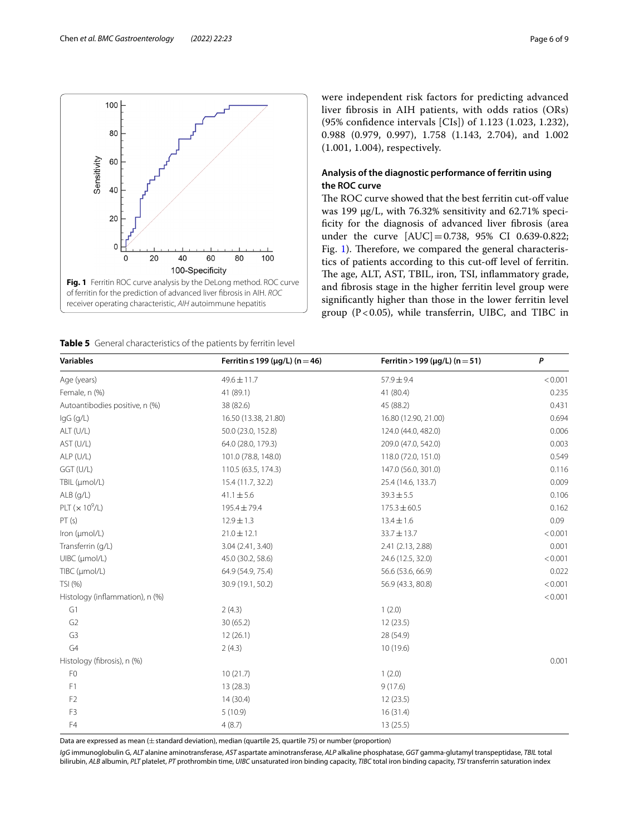

<span id="page-5-1"></span><span id="page-5-0"></span>**Table 5** General characteristics of the patients by ferritin level

were independent risk factors for predicting advanced liver fbrosis in AIH patients, with odds ratios (ORs) (95% confdence intervals [CIs]) of 1.123 (1.023, 1.232), 0.988 (0.979, 0.997), 1.758 (1.143, 2.704), and 1.002 (1.001, 1.004), respectively.

## **Analysis of the diagnostic performance of ferritin using the ROC curve**

The ROC curve showed that the best ferritin cut-off value was 199 μg/L, with 76.32% sensitivity and 62.71% specificity for the diagnosis of advanced liver fibrosis (area under the curve [AUC] = 0.738, 95% CI 0.639-0.822; Fig. [1\)](#page-5-0). Therefore, we compared the general characteristics of patients according to this cut-of level of ferritin. The age, ALT, AST, TBIL, iron, TSI, inflammatory grade, and fbrosis stage in the higher ferritin level group were signifcantly higher than those in the lower ferritin level group ( $P < 0.05$ ), while transferrin, UIBC, and TIBC in

| <b>Variables</b>                   | Ferritin ≤ 199 ( $\mu$ g/L) (n = 46) | Ferritin > 199 ( $\mu$ g/L) (n = 51) | P       |  |
|------------------------------------|--------------------------------------|--------------------------------------|---------|--|
| Age (years)                        | $49.6 \pm 11.7$                      | $57.9 \pm 9.4$                       | < 0.001 |  |
| Female, n (%)                      | 41 (89.1)                            | 41 (80.4)                            | 0.235   |  |
| Autoantibodies positive, n (%)     | 38 (82.6)                            | 45 (88.2)                            | 0.431   |  |
| $lgG$ (g/L)                        | 16.50 (13.38, 21.80)                 | 16.80 (12.90, 21.00)                 | 0.694   |  |
| ALT (U/L)                          | 50.0 (23.0, 152.8)                   | 124.0 (44.0, 482.0)                  | 0.006   |  |
| AST (U/L)                          | 64.0 (28.0, 179.3)                   | 209.0 (47.0, 542.0)                  | 0.003   |  |
| ALP (U/L)                          | 101.0 (78.8, 148.0)                  | 118.0 (72.0, 151.0)                  | 0.549   |  |
| GGT (U/L)                          | 110.5 (63.5, 174.3)                  | 147.0 (56.0, 301.0)                  | 0.116   |  |
| TBIL (µmol/L)                      | 15.4 (11.7, 32.2)                    | 25.4 (14.6, 133.7)                   | 0.009   |  |
| $ALB$ (q/L)                        | $41.1 \pm 5.6$                       | $39.3 \pm 5.5$                       | 0.106   |  |
| PLT ( $\times$ 10 <sup>9</sup> /L) | 195.4 ± 79.4                         | $175.3 \pm 60.5$                     | 0.162   |  |
| PT(s)                              | $12.9 \pm 1.3$                       | $13.4 \pm 1.6$                       | 0.09    |  |
| Iron (µmol/L)                      | $21.0 \pm 12.1$                      | $33.7 \pm 13.7$                      | < 0.001 |  |
| Transferrin (q/L)                  | 3.04 (2.41, 3.40)                    | 2.41 (2.13, 2.88)                    | 0.001   |  |
| UIBC (µmol/L)                      | 45.0 (30.2, 58.6)                    | 24.6 (12.5, 32.0)                    | < 0.001 |  |
| TIBC (µmol/L)                      | 64.9 (54.9, 75.4)                    | 56.6 (53.6, 66.9)                    | 0.022   |  |
| TSI (%)                            | 30.9 (19.1, 50.2)                    | 56.9 (43.3, 80.8)                    | < 0.001 |  |
| Histology (inflammation), n (%)    |                                      |                                      | < 0.001 |  |
| G1                                 | 2(4.3)                               | 1(2.0)                               |         |  |
| G <sub>2</sub>                     | 30 (65.2)                            | 12(23.5)                             |         |  |
| G <sub>3</sub>                     | 12(26.1)                             | 28 (54.9)                            |         |  |
| G4                                 | 2(4.3)                               | 10(19.6)                             |         |  |
| Histology (fibrosis), n (%)        |                                      |                                      | 0.001   |  |
| F <sub>0</sub>                     | 10(21.7)                             | 1(2.0)                               |         |  |
| F1                                 | 13(28.3)                             | 9(17.6)                              |         |  |
| F <sub>2</sub>                     | 14(30.4)                             | 12(23.5)                             |         |  |
| F3                                 | 5(10.9)                              | 16(31.4)                             |         |  |
| F4                                 | 4(8.7)                               | 13(25.5)                             |         |  |

Data are expressed as mean (±standard deviation), median (quartile 25, quartile 75) or number (proportion)

*IgG* immunoglobulin G, *ALT* alanine aminotransferase, *AST* aspartate aminotransferase, *ALP* alkaline phosphatase, *GGT* gamma-glutamyl transpeptidase, *TBIL* total bilirubin, *ALB* albumin, *PLT* platelet, *PT* prothrombin time, *UIBC* unsaturated iron binding capacity, *TIBC* total iron binding capacity, *TSI* transferrin saturation index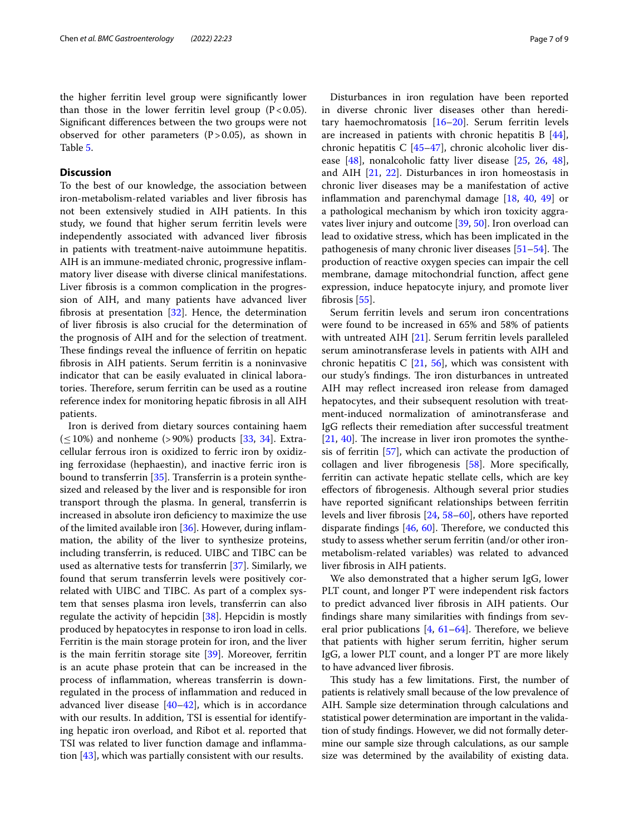the higher ferritin level group were signifcantly lower than those in the lower ferritin level group  $(P<0.05)$ . Signifcant diferences between the two groups were not observed for other parameters  $(P>0.05)$ , as shown in Table [5](#page-5-1).

## **Discussion**

To the best of our knowledge, the association between iron-metabolism-related variables and liver fbrosis has not been extensively studied in AIH patients. In this study, we found that higher serum ferritin levels were independently associated with advanced liver fbrosis in patients with treatment-naive autoimmune hepatitis. AIH is an immune-mediated chronic, progressive infammatory liver disease with diverse clinical manifestations. Liver fbrosis is a common complication in the progression of AIH, and many patients have advanced liver fbrosis at presentation [[32\]](#page-8-4). Hence, the determination of liver fbrosis is also crucial for the determination of the prognosis of AIH and for the selection of treatment. These findings reveal the influence of ferritin on hepatic fbrosis in AIH patients. Serum ferritin is a noninvasive indicator that can be easily evaluated in clinical laboratories. Therefore, serum ferritin can be used as a routine reference index for monitoring hepatic fbrosis in all AIH patients.

Iron is derived from dietary sources containing haem  $(\leq 10\%)$  and nonheme (>90%) products [\[33](#page-8-5), [34\]](#page-8-6). Extracellular ferrous iron is oxidized to ferric iron by oxidizing ferroxidase (hephaestin), and inactive ferric iron is bound to transferrin [[35](#page-8-7)]. Transferrin is a protein synthesized and released by the liver and is responsible for iron transport through the plasma. In general, transferrin is increased in absolute iron defciency to maximize the use of the limited available iron [\[36](#page-8-8)]. However, during infammation, the ability of the liver to synthesize proteins, including transferrin, is reduced. UIBC and TIBC can be used as alternative tests for transferrin [[37](#page-8-9)]. Similarly, we found that serum transferrin levels were positively correlated with UIBC and TIBC. As part of a complex system that senses plasma iron levels, transferrin can also regulate the activity of hepcidin [[38](#page-8-10)]. Hepcidin is mostly produced by hepatocytes in response to iron load in cells. Ferritin is the main storage protein for iron, and the liver is the main ferritin storage site [\[39](#page-8-11)]. Moreover, ferritin is an acute phase protein that can be increased in the process of infammation, whereas transferrin is downregulated in the process of infammation and reduced in advanced liver disease  $[40-42]$  $[40-42]$  $[40-42]$ , which is in accordance with our results. In addition, TSI is essential for identifying hepatic iron overload, and Ribot et al. reported that TSI was related to liver function damage and infammation [[43\]](#page-8-14), which was partially consistent with our results.

Disturbances in iron regulation have been reported in diverse chronic liver diseases other than hereditary haemochromatosis [[16–](#page-7-16)[20](#page-7-19)]. Serum ferritin levels are increased in patients with chronic hepatitis  $B$  [\[44](#page-8-15)], chronic hepatitis C [[45–](#page-8-16)[47](#page-8-17)], chronic alcoholic liver disease [[48\]](#page-8-18), nonalcoholic fatty liver disease [[25,](#page-8-19) [26](#page-8-20), [48](#page-8-18)], and AIH [\[21](#page-7-20), [22](#page-7-15)]. Disturbances in iron homeostasis in chronic liver diseases may be a manifestation of active infammation and parenchymal damage [[18,](#page-7-21) [40,](#page-8-12) [49](#page-8-21)] or a pathological mechanism by which iron toxicity aggravates liver injury and outcome [\[39,](#page-8-11) [50](#page-8-22)]. Iron overload can lead to oxidative stress, which has been implicated in the pathogenesis of many chronic liver diseases  $[51–54]$  $[51–54]$  $[51–54]$  $[51–54]$ . The production of reactive oxygen species can impair the cell membrane, damage mitochondrial function, afect gene expression, induce hepatocyte injury, and promote liver fbrosis [[55\]](#page-8-25).

Serum ferritin levels and serum iron concentrations were found to be increased in 65% and 58% of patients with untreated AIH [[21\]](#page-7-20). Serum ferritin levels paralleled serum aminotransferase levels in patients with AIH and chronic hepatitis C  $[21, 56]$  $[21, 56]$  $[21, 56]$  $[21, 56]$ , which was consistent with our study's findings. The iron disturbances in untreated AIH may refect increased iron release from damaged hepatocytes, and their subsequent resolution with treatment‐induced normalization of aminotransferase and IgG refects their remediation after successful treatment  $[21, 40]$  $[21, 40]$  $[21, 40]$  $[21, 40]$  $[21, 40]$ . The increase in liver iron promotes the synthesis of ferritin [\[57](#page-8-27)], which can activate the production of collagen and liver fbrogenesis [\[58\]](#page-8-28). More specifcally, ferritin can activate hepatic stellate cells, which are key efectors of fbrogenesis. Although several prior studies have reported signifcant relationships between ferritin levels and liver fbrosis [\[24](#page-8-29), [58–](#page-8-28)[60\]](#page-8-30), others have reported disparate findings  $[46, 60]$  $[46, 60]$  $[46, 60]$  $[46, 60]$ . Therefore, we conducted this study to assess whether serum ferritin (and/or other ironmetabolism-related variables) was related to advanced liver fbrosis in AIH patients.

We also demonstrated that a higher serum IgG, lower PLT count, and longer PT were independent risk factors to predict advanced liver fbrosis in AIH patients. Our fndings share many similarities with fndings from several prior publications  $[4, 61-64]$  $[4, 61-64]$  $[4, 61-64]$ . Therefore, we believe that patients with higher serum ferritin, higher serum IgG, a lower PLT count, and a longer PT are more likely to have advanced liver fbrosis.

This study has a few limitations. First, the number of patients is relatively small because of the low prevalence of AIH. Sample size determination through calculations and statistical power determination are important in the validation of study fndings. However, we did not formally determine our sample size through calculations, as our sample size was determined by the availability of existing data.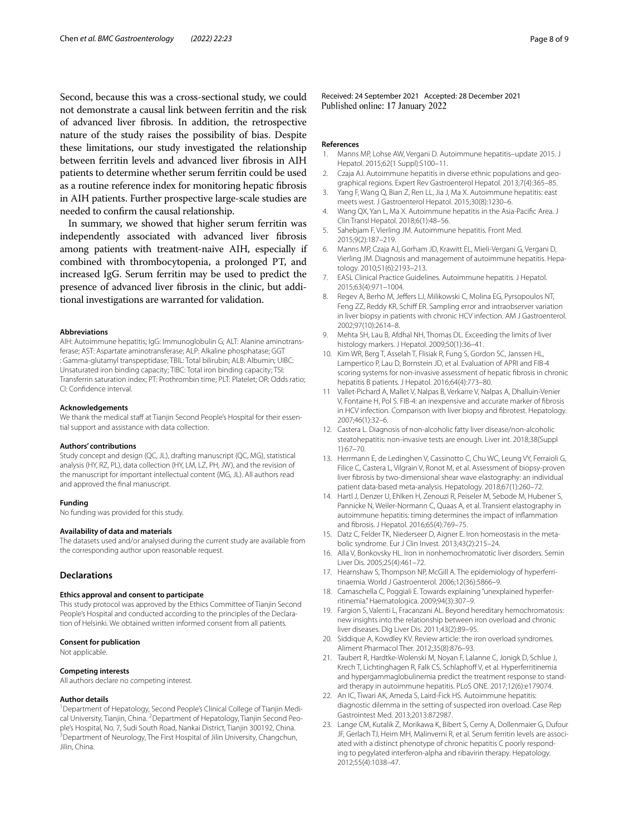Second, because this was a cross-sectional study, we could not demonstrate a causal link between ferritin and the risk of advanced liver fbrosis. In addition, the retrospective nature of the study raises the possibility of bias. Despite these limitations, our study investigated the relationship between ferritin levels and advanced liver fbrosis in AIH patients to determine whether serum ferritin could be used as a routine reference index for monitoring hepatic fbrosis in AIH patients. Further prospective large-scale studies are needed to confrm the causal relationship.

In summary, we showed that higher serum ferritin was independently associated with advanced liver fbrosis among patients with treatment-naive AIH, especially if combined with thrombocytopenia, a prolonged PT, and increased IgG. Serum ferritin may be used to predict the presence of advanced liver fbrosis in the clinic, but additional investigations are warranted for validation.

#### **Abbreviations**

AIH: Autoimmune hepatitis; IgG: Immunoglobulin G; ALT: Alanine aminotransferase; AST: Aspartate aminotransferase; ALP: Alkaline phosphatase; GGT : Gamma-glutamyl transpeptidase; TBIL: Total bilirubin; ALB: Albumin; UIBC: Unsaturated iron binding capacity; TIBC: Total iron binding capacity; TSI: Transferrin saturation index; PT: Prothrombin time; PLT: Platelet; OR: Odds ratio; CI: Confdence interval.

#### **Acknowledgements**

We thank the medical staff at Tianjin Second People's Hospital for their essential support and assistance with data collection.

#### **Authors' contributions**

Study concept and design (QC, JL), drafting manuscript (QC, MG), statistical analysis (HY, RZ, PL), data collection (HY, LM, LZ, PH, JW), and the revision of the manuscript for important intellectual content (MG, JL). All authors read and approved the fnal manuscript.

#### **Funding**

No funding was provided for this study.

#### **Availability of data and materials**

The datasets used and/or analysed during the current study are available from the corresponding author upon reasonable request.

#### **Declarations**

#### **Ethics approval and consent to participate**

This study protocol was approved by the Ethics Committee of Tianjin Second People's Hospital and conducted according to the principles of the Declaration of Helsinki. We obtained written informed consent from all patients.

#### **Consent for publication**

Not applicable.

#### **Competing interests**

All authors declare no competing interest.

#### **Author details**

<sup>1</sup> Department of Hepatology, Second People's Clinical College of Tianjin Medical University, Tianjin, China. <sup>2</sup> Department of Hepatology, Tianjin Second People's Hospital, No. 7, Sudi South Road, Nankai District, Tianjin 300192, China. 3 <sup>3</sup> Department of Neurology, The First Hospital of Jilin University, Changchun, Jilin, China.

Received: 24 September 2021 Accepted: 28 December 2021<br>Published online: 17 January 2022

#### **References**

- <span id="page-7-0"></span>1. Manns MP, Lohse AW, Vergani D. Autoimmune hepatitis–update 2015. J Hepatol. 2015;62(1 Suppl):S100–11.
- <span id="page-7-1"></span>2. Czaja AJ. Autoimmune hepatitis in diverse ethnic populations and geographical regions. Expert Rev Gastroenterol Hepatol. 2013;7(4):365–85.
- <span id="page-7-3"></span>3. Yang F, Wang Q, Bian Z, Ren LL, Jia J, Ma X. Autoimmune hepatitis: east meets west. J Gastroenterol Hepatol. 2015;30(8):1230–6.
- <span id="page-7-2"></span>4. Wang QX, Yan L, Ma X. Autoimmune hepatitis in the Asia-Pacifc Area. J Clin Transl Hepatol. 2018;6(1):48–56.
- <span id="page-7-4"></span>5. Sahebjam F, Vierling JM. Autoimmune hepatitis. Front Med. 2015;9(2):187–219.
- <span id="page-7-5"></span>6. Manns MP, Czaja AJ, Gorham JD, Krawitt EL, Mieli-Vergani G, Vergani D, Vierling JM. Diagnosis and management of autoimmune hepatitis. Hepatology. 2010;51(6):2193–213.
- <span id="page-7-6"></span>7. EASL Clinical Practice Guidelines. Autoimmune hepatitis. J Hepatol. 2015;63(4):971–1004.
- <span id="page-7-7"></span>8. Regev A, Berho M, Jeffers LJ, Milikowski C, Molina EG, Pyrsopoulos NT, Feng ZZ, Reddy KR, Schiff ER. Sampling error and intraobserver variation in liver biopsy in patients with chronic HCV infection. AM J Gastroenterol. 2002;97(10):2614–8.
- <span id="page-7-8"></span>9. Mehta SH, Lau B, Afdhal NH, Thomas DL. Exceeding the limits of liver histology markers. J Hepatol. 2009;50(1):36–41.
- <span id="page-7-9"></span>10. Kim WR, Berg T, Asselah T, Flisiak R, Fung S, Gordon SC, Janssen HL, Lampertico P, Lau D, Bornstein JD, et al. Evaluation of APRI and FIB-4 scoring systems for non-invasive assessment of hepatic fbrosis in chronic hepatitis B patients. J Hepatol. 2016;64(4):773–80.
- <span id="page-7-10"></span>11 Vallet-Pichard A, Mallet V, Nalpas B, Verkarre V, Nalpas A, Dhalluin-Venier V, Fontaine H, Pol S. FIB-4: an inexpensive and accurate marker of fbrosis in HCV infection. Comparison with liver biopsy and fbrotest. Hepatology. 2007;46(1):32–6.
- <span id="page-7-11"></span>12. Castera L. Diagnosis of non-alcoholic fatty liver disease/non-alcoholic steatohepatitis: non-invasive tests are enough. Liver int. 2018;38(Suppl 1):67–70.
- <span id="page-7-12"></span>13. Herrmann E, de Ledinghen V, Cassinotto C, Chu WC, Leung VY, Ferraioli G, Filice C, Castera L, Vilgrain V, Ronot M, et al. Assessment of biopsy-proven liver fbrosis by two-dimensional shear wave elastography: an individual patient data-based meta-analysis. Hepatology. 2018;67(1):260–72.
- <span id="page-7-13"></span>14. Hartl J, Denzer U, Ehlken H, Zenouzi R, Peiseler M, Sebode M, Hubener S, Pannicke N, Weiler-Normann C, Quaas A, et al. Transient elastography in autoimmune hepatitis: timing determines the impact of infammation and fbrosis. J Hepatol. 2016;65(4):769–75.
- <span id="page-7-14"></span>15. Datz C, Felder TK, Niederseer D, Aigner E. Iron homeostasis in the metabolic syndrome. Eur J Clin Invest. 2013;43(2):215–24.
- <span id="page-7-16"></span>16. Alla V, Bonkovsky HL. Iron in nonhemochromatotic liver disorders. Semin Liver Dis. 2005;25(4):461–72.
- 17. Hearnshaw S, Thompson NP, McGill A. The epidemiology of hyperferritinaemia. World J Gastroenterol. 2006;12(36):5866–9.
- <span id="page-7-21"></span>18. Camaschella C, Poggiali E. Towards explaining "unexplained hyperferritinemia." Haematologica. 2009;94(3):307–9.
- <span id="page-7-17"></span>19. Fargion S, Valenti L, Fracanzani AL. Beyond hereditary hemochromatosis: new insights into the relationship between iron overload and chronic liver diseases. Dig Liver Dis. 2011;43(2):89–95.
- <span id="page-7-19"></span>20. Siddique A, Kowdley KV. Review article: the iron overload syndromes. Aliment Pharmacol Ther. 2012;35(8):876–93.
- <span id="page-7-20"></span>21. Taubert R, Hardtke-Wolenski M, Noyan F, Lalanne C, Jonigk D, Schlue J, Krech T, Lichtinghagen R, Falk CS, Schlaphoff V, et al. Hyperferritinemia and hypergammaglobulinemia predict the treatment response to standard therapy in autoimmune hepatitis. PLoS ONE. 2017;12(6):e179074.
- <span id="page-7-15"></span>22. An IC, Tiwari AK, Ameda S, Laird-Fick HS. Autoimmune hepatitis: diagnostic dilemma in the setting of suspected iron overload. Case Rep Gastrointest Med. 2013;2013:872987.
- <span id="page-7-18"></span>23. Lange CM, Kutalik Z, Morikawa K, Bibert S, Cerny A, Dollenmaier G, Dufour JF, Gerlach TJ, Heim MH, Malinverni R, et al. Serum ferritin levels are associated with a distinct phenotype of chronic hepatitis C poorly responding to pegylated interferon-alpha and ribavirin therapy. Hepatology. 2012;55(4):1038–47.